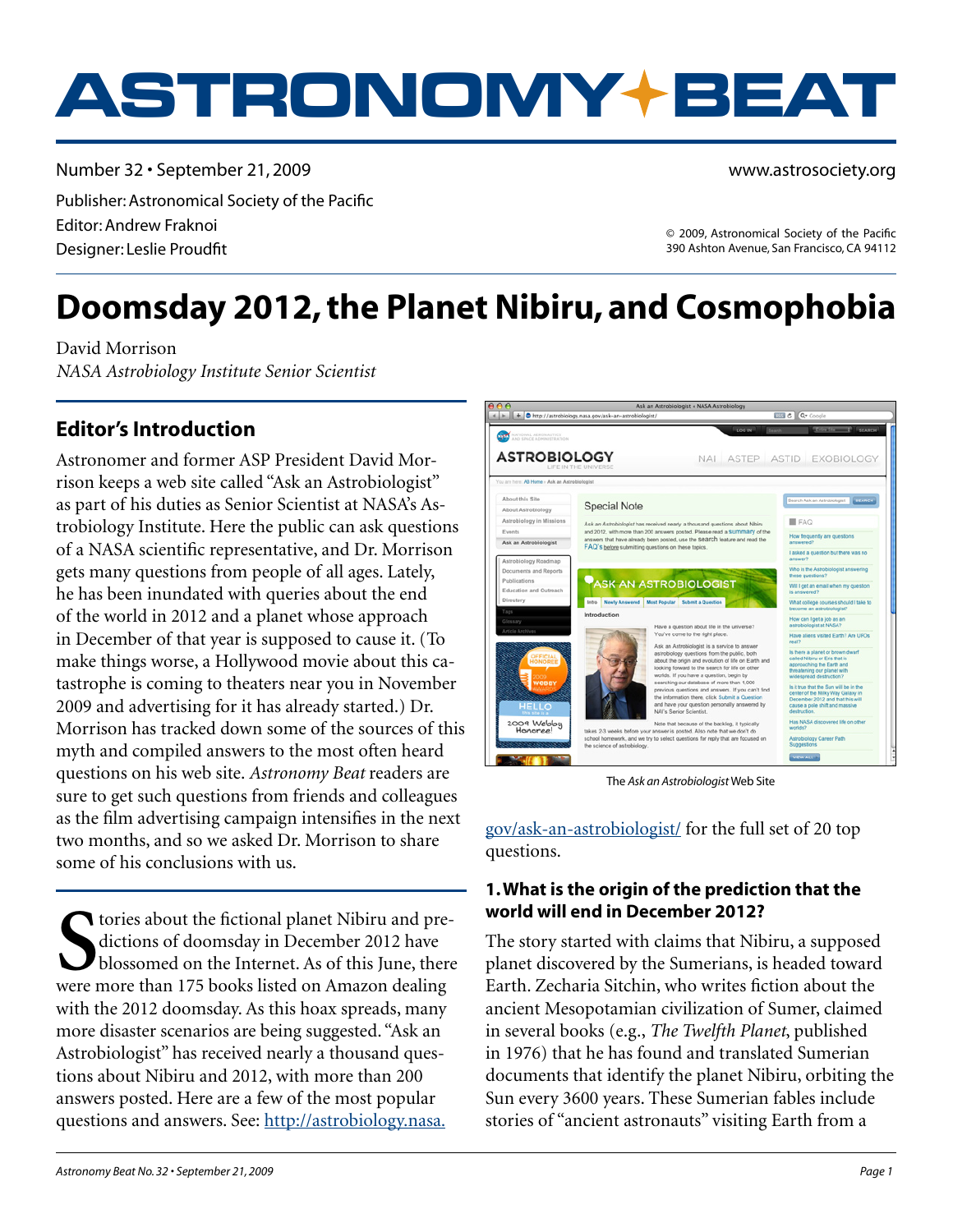# **ASTRONOMY BEAT**

Number 32 • September 21, 2009 Publisher: Astronomical Society of the Pacific Editor: Andrew Fraknoi Designer: Leslie Proudfit

© 2009, Astronomical Society of the Pacific 390 Ashton Avenue, San Francisco, CA 94112

www.astrosociety.org

# **Doomsday 2012, the Planet Nibiru, and Cosmophobia**

David Morrison *NASA Astrobiology Institute Senior Scientist*

## **Editor's Introduction**

Astronomer and former ASP President David More<br>
Tison keeps a web site called "Ask an Astrobiologist"<br>
as part of his duties as Senior Scientist at NASA's As-<br>
trobiology Institute. Here the public can ask questions<br>
Also Astronomer and former ASP President David Morrison keeps a web site called "Ask an Astrobiologist" as part of his duties as Senior Scientist at NASA's Astrobiology Institute. Here the public can ask questions of a NASA scientific representative, and Dr. Morrison gets many questions from people of all ages. Lately, he has been inundated with queries about the end of the world in 2012 and a planet whose approach in December of that year is supposed to cause it. (To make things worse, a Hollywood movie about this catastrophe is coming to theaters near you in November 2009 and advertising for it has already started.) Dr. Morrison has tracked down some of the sources of this myth and compiled answers to the most often heard questions on his web site. *Astronomy Beat* readers are sure to get such questions from friends and colleagues as the film advertising campaign intensifies in the next two months, and so we asked Dr. Morrison to share some of his conclusions with us.

Subsemies about the fictional planet Nibiru and predictions of doomsday in December 2012 have<br>blossomed on the Internet. As of this June, then<br>were more than 175 books listed on Amazon dealing tories about the fictional planet Nibiru and predictions of doomsday in December 2012 have blossomed on the Internet. As of this June, there with the 2012 doomsday. As this hoax spreads, many more disaster scenarios are being suggested. "Ask an Astrobiologist" has received nearly a thousand questions about Nibiru and 2012, with more than 200 answers posted. Here are a few of the most popular questions and answers. See: [http://astrobiology.nasa.](http://astrobiology.nasa.gov/ask-an-astrobiologist/)



The *Ask an Astrobiologist* Web Site

[gov/ask-an-astrobiologist/](http://astrobiology.nasa.gov/ask-an-astrobiologist/) for the full set of 20 top questions.

#### **1. What is the origin of the prediction that the world will end in December 2012?**

The story started with claims that Nibiru, a supposed planet discovered by the Sumerians, is headed toward Earth. Zecharia Sitchin, who writes fiction about the ancient Mesopotamian civilization of Sumer, claimed in several books (e.g., *The Twelfth Planet*, published in 1976) that he has found and translated Sumerian documents that identify the planet Nibiru, orbiting the Sun every 3600 years. These Sumerian fables include stories of "ancient astronauts" visiting Earth from a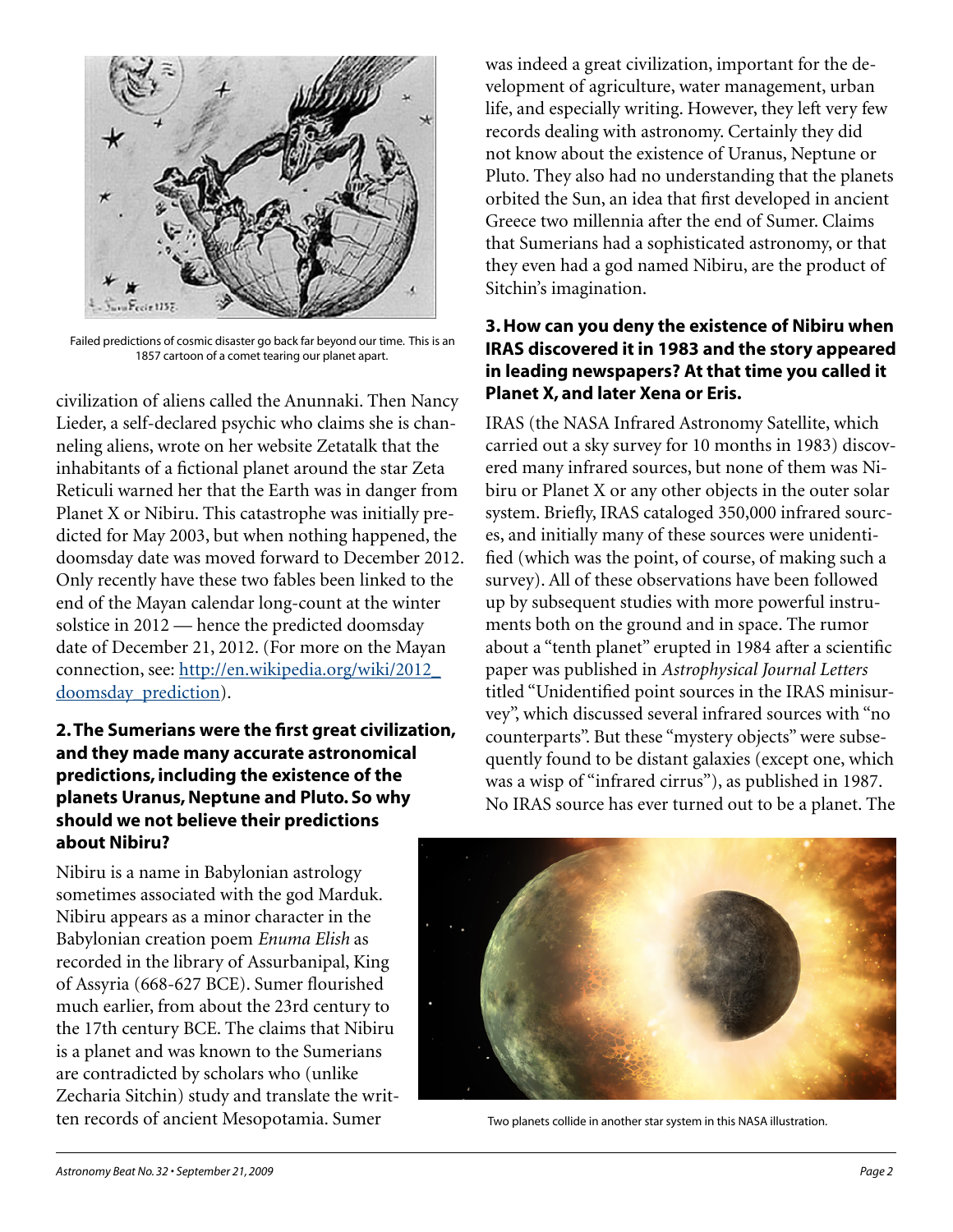

 Failed predictions of cosmic disaster go back far beyond our time. This is an 1857 cartoon of a comet tearing our planet apart.

civilization of aliens called the Anunnaki. Then Nancy Lieder, a self-declared psychic who claims she is channeling aliens, wrote on her website Zetatalk that the inhabitants of a fictional planet around the star Zeta Reticuli warned her that the Earth was in danger from Planet X or Nibiru. This catastrophe was initially predicted for May 2003, but when nothing happened, the doomsday date was moved forward to December 2012. Only recently have these two fables been linked to the end of the Mayan calendar long-count at the winter solstice in 2012 — hence the predicted doomsday date of December 21, 2012. (For more on the Mayan connection, see: [http://en.wikipedia.org/wiki/2012\\_](http://en.wikipedia.org/wiki/2012_doomsday_prediction) [doomsday\\_prediction](http://en.wikipedia.org/wiki/2012_doomsday_prediction)).

#### **2. The Sumerians were the first great civilization, and they made many accurate astronomical predictions, including the existence of the planets Uranus, Neptune and Pluto. So why should we not believe their predictions about Nibiru?**

Nibiru is a name in Babylonian astrology sometimes associated with the god Marduk. Nibiru appears as a minor character in the Babylonian creation poem *Enuma Elish* as recorded in the library of Assurbanipal, King of Assyria (668-627 BCE). Sumer flourished much earlier, from about the 23rd century to the 17th century BCE. The claims that Nibiru is a planet and was known to the Sumerians are contradicted by scholars who (unlike Zecharia Sitchin) study and translate the written records of ancient Mesopotamia. Sumer

was indeed a great civilization, important for the development of agriculture, water management, urban life, and especially writing. However, they left very few records dealing with astronomy. Certainly they did not know about the existence of Uranus, Neptune or Pluto. They also had no understanding that the planets orbited the Sun, an idea that first developed in ancient Greece two millennia after the end of Sumer. Claims that Sumerians had a sophisticated astronomy, or that they even had a god named Nibiru, are the product of Sitchin's imagination.

#### **3. How can you deny the existence of Nibiru when IRAS discovered it in 1983 and the story appeared in leading newspapers? At that time you called it Planet X, and later Xena or Eris.**

IRAS (the NASA Infrared Astronomy Satellite, which carried out a sky survey for 10 months in 1983) discovered many infrared sources, but none of them was Nibiru or Planet X or any other objects in the outer solar system. Briefly, IRAS cataloged 350,000 infrared sources, and initially many of these sources were unidentified (which was the point, of course, of making such a survey). All of these observations have been followed up by subsequent studies with more powerful instruments both on the ground and in space. The rumor about a "tenth planet" erupted in 1984 after a scientific paper was published in *Astrophysical Journal Letters* titled "Unidentified point sources in the IRAS minisurvey", which discussed several infrared sources with "no counterparts". But these "mystery objects" were subsequently found to be distant galaxies (except one, which was a wisp of "infrared cirrus"), as published in 1987. No IRAS source has ever turned out to be a planet. The



Two planets collide in another star system in this NASA illustration.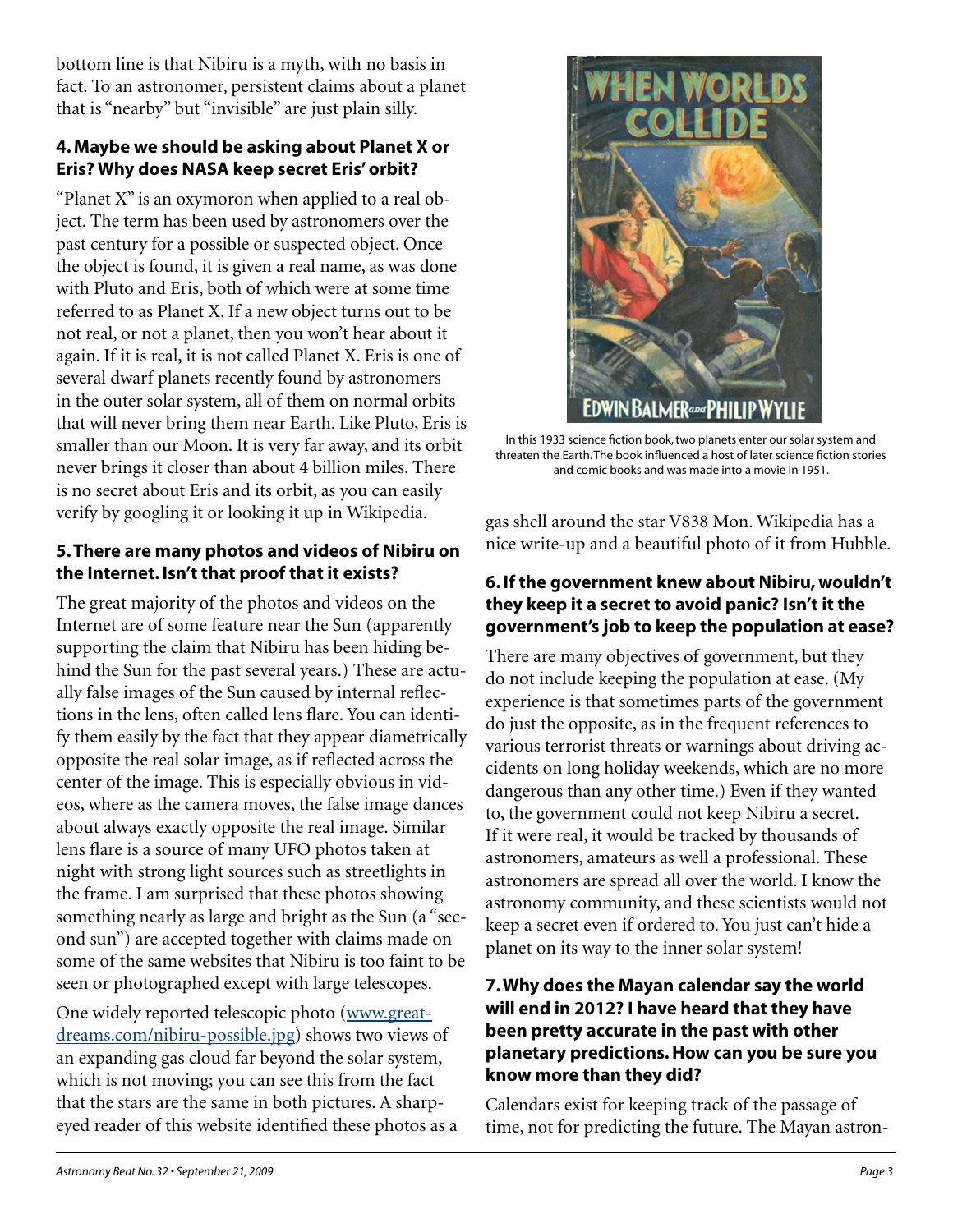bottom line is that Nibiru is a myth, with no basis in fact. To an astronomer, persistent claims about a planet that is "nearby" but "invisible" are just plain silly.

#### **4. Maybe we should be asking about Planet X or Eris? Why does NASA keep secret Eris' orbit?**

"Planet X" is an oxymoron when applied to a real object. The term has been used by astronomers over the past century for a possible or suspected object. Once the object is found, it is given a real name, as was done with Pluto and Eris, both of which were at some time referred to as Planet X. If a new object turns out to be not real, or not a planet, then you won't hear about it again. If it is real, it is not called Planet X. Eris is one of several dwarf planets recently found by astronomers in the outer solar system, all of them on normal orbits that will never bring them near Earth. Like Pluto, Eris is smaller than our Moon. It is very far away, and its orbit never brings it closer than about 4 billion miles. There is no secret about Eris and its orbit, as you can easily verify by googling it or looking it up in Wikipedia.

#### **5. There are many photos and videos of Nibiru on the Internet. Isn't that proof that it exists?**

The great majority of the photos and videos on the Internet are of some feature near the Sun (apparently supporting the claim that Nibiru has been hiding behind the Sun for the past several years.) These are actually false images of the Sun caused by internal reflections in the lens, often called lens flare. You can identify them easily by the fact that they appear diametrically opposite the real solar image, as if reflected across the center of the image. This is especially obvious in videos, where as the camera moves, the false image dances about always exactly opposite the real image. Similar lens flare is a source of many UFO photos taken at night with strong light sources such as streetlights in the frame. I am surprised that these photos showing something nearly as large and bright as the Sun (a "second sun") are accepted together with claims made on some of the same websites that Nibiru is too faint to be seen or photographed except with large telescopes.

One widely reported telescopic photo ([www.great](http://www.greatdreams.com/nibiru-possible.jpg)[dreams.com/nibiru-possible.jpg](http://www.greatdreams.com/nibiru-possible.jpg)) shows two views of an expanding gas cloud far beyond the solar system, which is not moving; you can see this from the fact that the stars are the same in both pictures. A sharpeyed reader of this website identified these photos as a



In this 1933 science fiction book, two planets enter our solar system and threaten the Earth. The book influenced a host of later science fiction stories and comic books and was made into a movie in 1951.

gas shell around the star V838 Mon. Wikipedia has a nice write-up and a beautiful photo of it from Hubble.

#### **6. If the government knew about Nibiru, wouldn't they keep it a secret to avoid panic? Isn't it the government's job to keep the population at ease?**

There are many objectives of government, but they do not include keeping the population at ease. (My experience is that sometimes parts of the government do just the opposite, as in the frequent references to various terrorist threats or warnings about driving accidents on long holiday weekends, which are no more dangerous than any other time.) Even if they wanted to, the government could not keep Nibiru a secret. If it were real, it would be tracked by thousands of astronomers, amateurs as well a professional. These astronomers are spread all over the world. I know the astronomy community, and these scientists would not keep a secret even if ordered to. You just can't hide a planet on its way to the inner solar system!

#### **7. Why does the Mayan calendar say the world will end in 2012? I have heard that they have been pretty accurate in the past with other planetary predictions. How can you be sure you know more than they did?**

Calendars exist for keeping track of the passage of time, not for predicting the future. The Mayan astron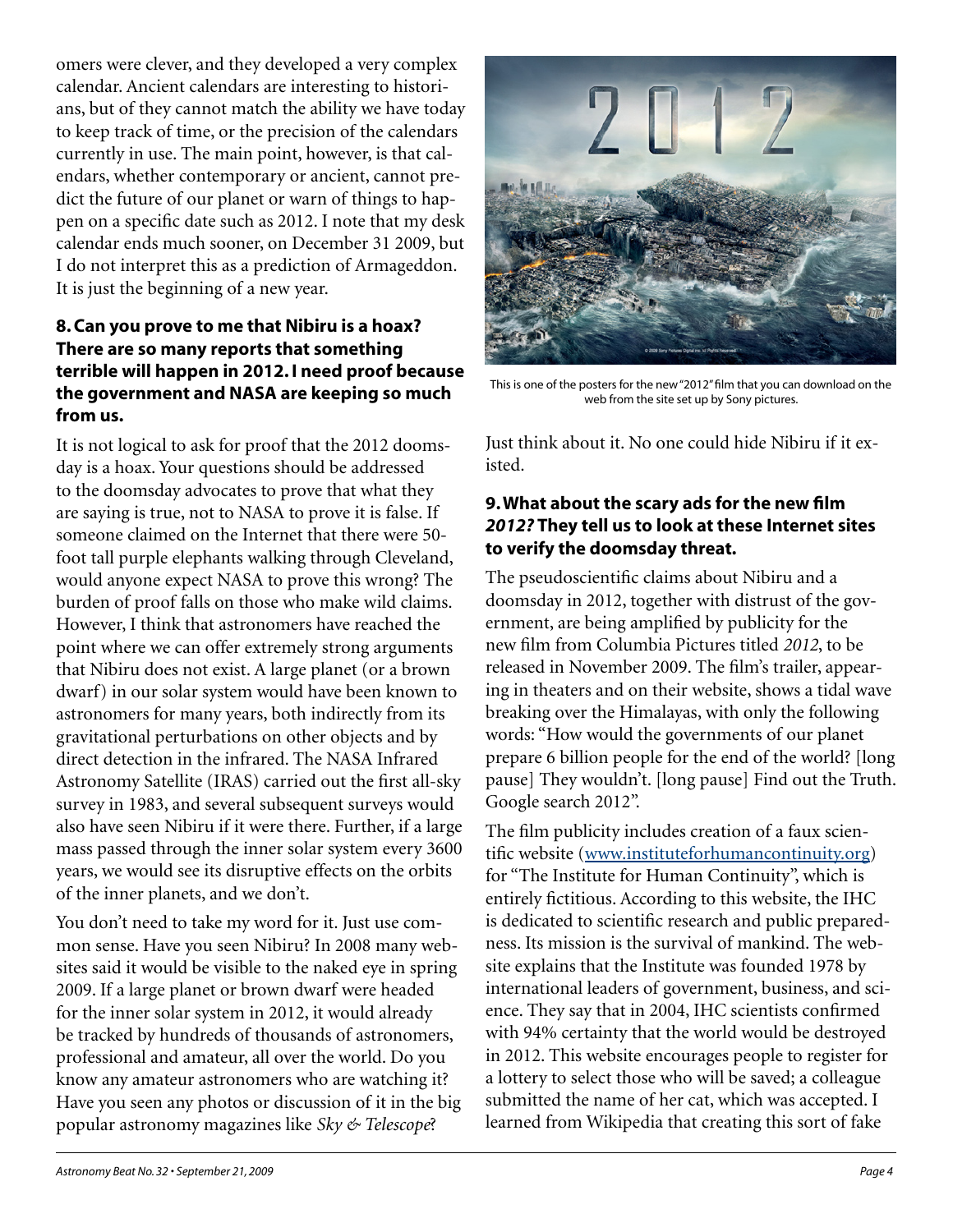omers were clever, and they developed a very complex calendar. Ancient calendars are interesting to historians, but of they cannot match the ability we have today to keep track of time, or the precision of the calendars currently in use. The main point, however, is that calendars, whether contemporary or ancient, cannot predict the future of our planet or warn of things to happen on a specific date such as 2012. I note that my desk calendar ends much sooner, on December 31 2009, but I do not interpret this as a prediction of Armageddon. It is just the beginning of a new year.

#### **8. Can you prove to me that Nibiru is a hoax? There are so many reports that something terrible will happen in 2012. I need proof because the government and NASA are keeping so much from us.**

It is not logical to ask for proof that the 2012 doomsday is a hoax. Your questions should be addressed to the doomsday advocates to prove that what they are saying is true, not to NASA to prove it is false. If someone claimed on the Internet that there were 50 foot tall purple elephants walking through Cleveland, would anyone expect NASA to prove this wrong? The burden of proof falls on those who make wild claims. However, I think that astronomers have reached the point where we can offer extremely strong arguments that Nibiru does not exist. A large planet (or a brown dwarf) in our solar system would have been known to astronomers for many years, both indirectly from its gravitational perturbations on other objects and by direct detection in the infrared. The NASA Infrared Astronomy Satellite (IRAS) carried out the first all-sky survey in 1983, and several subsequent surveys would also have seen Nibiru if it were there. Further, if a large mass passed through the inner solar system every 3600 years, we would see its disruptive effects on the orbits of the inner planets, and we don't.

You don't need to take my word for it. Just use common sense. Have you seen Nibiru? In 2008 many websites said it would be visible to the naked eye in spring 2009. If a large planet or brown dwarf were headed for the inner solar system in 2012, it would already be tracked by hundreds of thousands of astronomers, professional and amateur, all over the world. Do you know any amateur astronomers who are watching it? Have you seen any photos or discussion of it in the big popular astronomy magazines like *Sky & Telescope*?



This is one of the posters for the new "2012" film that you can download on the web from the site set up by Sony pictures.

Just think about it. No one could hide Nibiru if it existed.

#### **9. What about the scary ads for the new film**  *2012?* **They tell us to look at these Internet sites to verify the doomsday threat.**

The pseudoscientific claims about Nibiru and a doomsday in 2012, together with distrust of the government, are being amplified by publicity for the new film from Columbia Pictures titled *2012*, to be released in November 2009. The film's trailer, appearing in theaters and on their website, shows a tidal wave breaking over the Himalayas, with only the following words: "How would the governments of our planet prepare 6 billion people for the end of the world? [long pause] They wouldn't. [long pause] Find out the Truth. Google search 2012".

The film publicity includes creation of a faux scientific website ([www.instituteforhumancontinuity.org\)](http://www.instituteforhumancontinuity.org) for "The Institute for Human Continuity", which is entirely fictitious. According to this website, the IHC is dedicated to scientific research and public preparedness. Its mission is the survival of mankind. The website explains that the Institute was founded 1978 by international leaders of government, business, and science. They say that in 2004, IHC scientists confirmed with 94% certainty that the world would be destroyed in 2012. This website encourages people to register for a lottery to select those who will be saved; a colleague submitted the name of her cat, which was accepted. I learned from Wikipedia that creating this sort of fake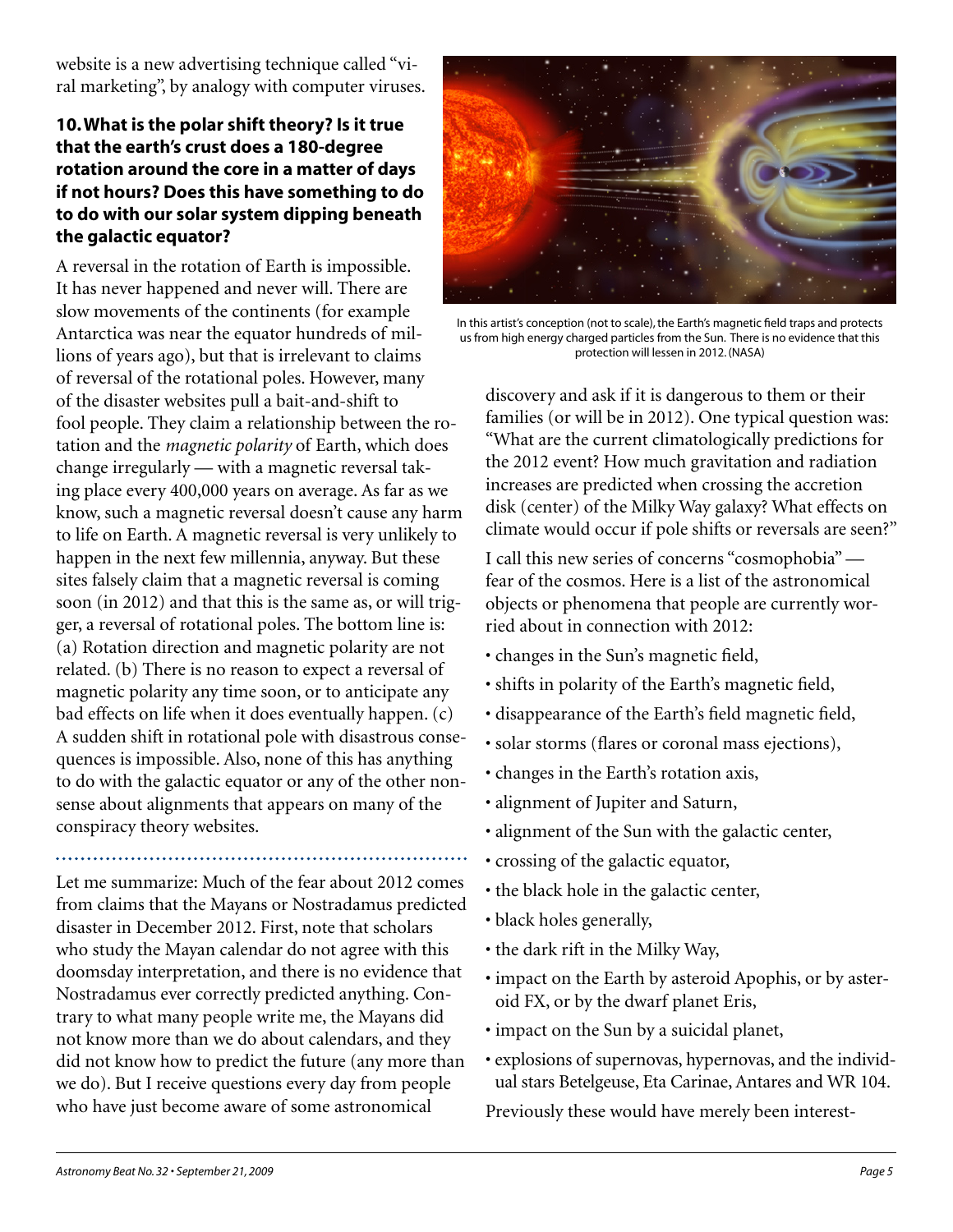website is a new advertising technique called "viral marketing", by analogy with computer viruses.

#### **10. What is the polar shift theory? Is it true that the earth's crust does a 180-degree rotation around the core in a matter of days if not hours? Does this have something to do to do with our solar system dipping beneath the galactic equator?**

A reversal in the rotation of Earth is impossible. It has never happened and never will. There are slow movements of the continents (for example Antarctica was near the equator hundreds of millions of years ago), but that is irrelevant to claims of reversal of the rotational poles. However, many of the disaster websites pull a bait-and-shift to fool people. They claim a relationship between the rotation and the *magnetic polarity* of Earth, which does change irregularly — with a magnetic reversal taking place every 400,000 years on average. As far as we know, such a magnetic reversal doesn't cause any harm to life on Earth. A magnetic reversal is very unlikely to happen in the next few millennia, anyway. But these sites falsely claim that a magnetic reversal is coming soon (in 2012) and that this is the same as, or will trigger, a reversal of rotational poles. The bottom line is: (a) Rotation direction and magnetic polarity are not related. (b) There is no reason to expect a reversal of magnetic polarity any time soon, or to anticipate any bad effects on life when it does eventually happen. (c) A sudden shift in rotational pole with disastrous consequences is impossible. Also, none of this has anything to do with the galactic equator or any of the other nonsense about alignments that appears on many of the conspiracy theory websites.

Let me summarize: Much of the fear about 2012 comes from claims that the Mayans or Nostradamus predicted disaster in December 2012. First, note that scholars who study the Mayan calendar do not agree with this doomsday interpretation, and there is no evidence that Nostradamus ever correctly predicted anything. Contrary to what many people write me, the Mayans did not know more than we do about calendars, and they did not know how to predict the future (any more than we do). But I receive questions every day from people who have just become aware of some astronomical



In this artist's conception (not to scale), the Earth's magnetic field traps and protects us from high energy charged particles from the Sun. There is no evidence that this protection will lessen in 2012. (NASA)

discovery and ask if it is dangerous to them or their families (or will be in 2012). One typical question was: "What are the current climatologically predictions for the 2012 event? How much gravitation and radiation increases are predicted when crossing the accretion disk (center) of the Milky Way galaxy? What effects on climate would occur if pole shifts or reversals are seen?"

I call this new series of concerns "cosmophobia" fear of the cosmos. Here is a list of the astronomical objects or phenomena that people are currently worried about in connection with 2012:

- changes in the Sun's magnetic field,
- shifts in polarity of the Earth's magnetic field,
- disappearance of the Earth's field magnetic field,
- solar storms (flares or coronal mass ejections),
- changes in the Earth's rotation axis,
- alignment of Jupiter and Saturn,
- alignment of the Sun with the galactic center,
- crossing of the galactic equator,
- the black hole in the galactic center,
- black holes generally,
- the dark rift in the Milky Way,
- impact on the Earth by asteroid Apophis, or by asteroid FX, or by the dwarf planet Eris,
- impact on the Sun by a suicidal planet,
- explosions of supernovas, hypernovas, and the individual stars Betelgeuse, Eta Carinae, Antares and WR 104.

Previously these would have merely been interest-